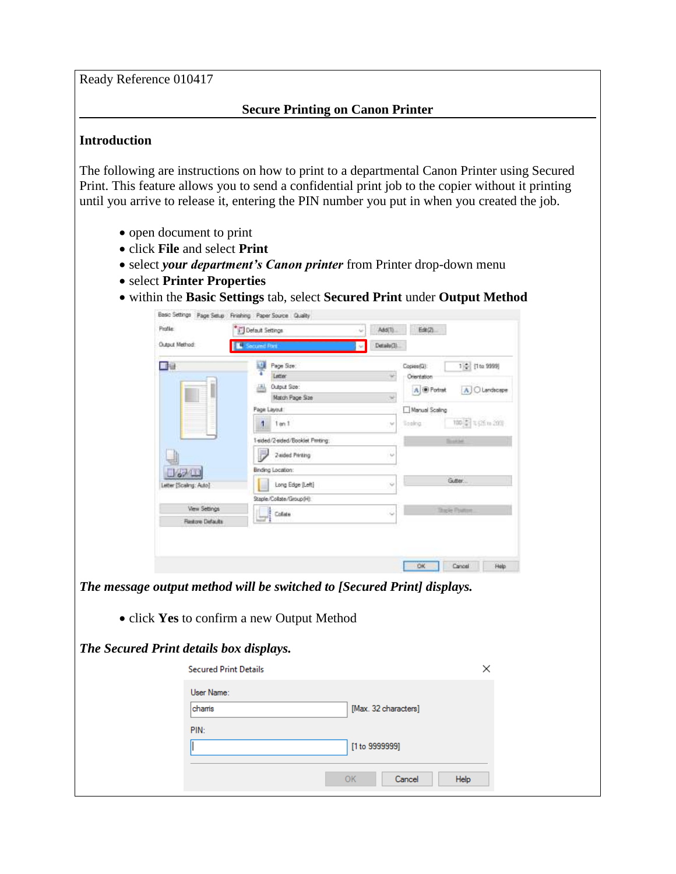Ready Reference 010417

## **Secure Printing on Canon Printer**

## **Introduction**

The following are instructions on how to print to a departmental Canon Printer using Secured Print. This feature allows you to send a confidential print job to the copier without it printing until you arrive to release it, entering the PIN number you put in when you created the job.

- open document to print
- click **File** and select **Print**
- select *your department's Canon printer* from Printer drop-down menu
- select **Printer Properties**
- within the **Basic Settings** tab, select **Secured Print** under **Output Method**

|                                                                         | Basic Settings Page Setup Finishing Paper Source Quality |                                  |    |                          |                                  |                    |                     |
|-------------------------------------------------------------------------|----------------------------------------------------------|----------------------------------|----|--------------------------|----------------------------------|--------------------|---------------------|
| Profile:                                                                | Default Settings                                         |                                  | u  | Add(T)                   | E4(2)                            |                    |                     |
| Output Method:                                                          | <b>ecured Part</b>                                       |                                  |    | Detaile(3).              |                                  |                    |                     |
| 口包                                                                      | 口                                                        | Page Size:<br>Letter             |    |                          | Copies(Q):<br><b>Orientation</b> |                    | 1 0-1 (1 to 9999)   |
|                                                                         | a                                                        | Output Size:<br>Match Page Sae   |    | $\overline{\phantom{a}}$ | A <b><i>@ Pottek</i></b>         |                    | A C Landscape       |
|                                                                         |                                                          | Page Layout                      |    |                          | Manual Scaling                   |                    |                     |
|                                                                         |                                                          | $1$ on $1$                       |    | $\mathcal{M}$            | licolog.                         |                    | 100 年 4 (25 to 202) |
|                                                                         |                                                          | 1-sided/2-sided/Booklet Printing |    |                          |                                  | <b>Touch Ave</b>   |                     |
|                                                                         |                                                          | 2-sided Pitraing                 |    | $\omega$                 |                                  |                    |                     |
|                                                                         |                                                          | Binding Location:                |    |                          |                                  |                    |                     |
|                                                                         | etter [Scaling: Auto]                                    | Long Edge (Left)                 |    |                          |                                  | Gutter.            |                     |
|                                                                         |                                                          | Staple/Collate/Group (H):        |    |                          |                                  |                    |                     |
|                                                                         | View Settings                                            | Colida                           |    |                          |                                  | <b>Jose Former</b> |                     |
|                                                                         | <b>Restore Defaults</b>                                  |                                  |    |                          |                                  |                    |                     |
|                                                                         |                                                          |                                  |    |                          | <b>OK</b>                        | Cancel             | Help                |
| The message output method will be switched to [Secured Print] displays. |                                                          |                                  |    |                          |                                  |                    |                     |
|                                                                         | • click Yes to confirm a new Output Method               |                                  |    |                          |                                  |                    |                     |
| The Secured Print details box displays.                                 |                                                          |                                  |    |                          |                                  |                    |                     |
|                                                                         | <b>Secured Print Details</b>                             |                                  |    |                          |                                  |                    | ×                   |
|                                                                         | User Name:                                               |                                  |    |                          |                                  |                    |                     |
|                                                                         | chamis                                                   |                                  |    | [Max. 32 characters]     |                                  |                    |                     |
|                                                                         | PIN:                                                     |                                  |    |                          |                                  |                    |                     |
|                                                                         |                                                          |                                  |    |                          |                                  |                    |                     |
|                                                                         |                                                          |                                  |    | [1 to 9999999]           |                                  |                    |                     |
|                                                                         |                                                          |                                  |    |                          |                                  |                    |                     |
|                                                                         |                                                          |                                  | OK |                          | Cancel                           | Help               |                     |